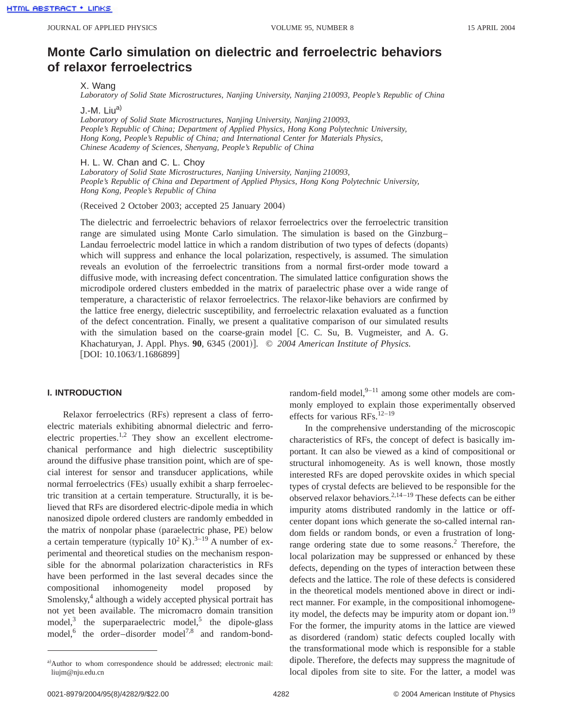# **Monte Carlo simulation on dielectric and ferroelectric behaviors of relaxor ferroelectrics**

X. Wang

*Laboratory of Solid State Microstructures, Nanjing University, Nanjing 210093, People's Republic of China*

J.-M. Liu<sup>a)</sup>

*Laboratory of Solid State Microstructures, Nanjing University, Nanjing 210093, People's Republic of China; Department of Applied Physics, Hong Kong Polytechnic University, Hong Kong, People's Republic of China; and International Center for Materials Physics, Chinese Academy of Sciences, Shenyang, People's Republic of China*

H. L. W. Chan and C. L. Choy

*Laboratory of Solid State Microstructures, Nanjing University, Nanjing 210093, People's Republic of China and Department of Applied Physics, Hong Kong Polytechnic University, Hong Kong, People's Republic of China*

(Received 2 October 2003; accepted 25 January 2004)

The dielectric and ferroelectric behaviors of relaxor ferroelectrics over the ferroelectric transition range are simulated using Monte Carlo simulation. The simulation is based on the Ginzburg– Landau ferroelectric model lattice in which a random distribution of two types of defects (dopants) which will suppress and enhance the local polarization, respectively, is assumed. The simulation reveals an evolution of the ferroelectric transitions from a normal first-order mode toward a diffusive mode, with increasing defect concentration. The simulated lattice configuration shows the microdipole ordered clusters embedded in the matrix of paraelectric phase over a wide range of temperature, a characteristic of relaxor ferroelectrics. The relaxor-like behaviors are confirmed by the lattice free energy, dielectric susceptibility, and ferroelectric relaxation evaluated as a function of the defect concentration. Finally, we present a qualitative comparison of our simulated results with the simulation based on the coarse-grain model [C. C. Su, B. Vugmeister, and A. G. Khachaturyan, J. Appl. Phys. **90**, 6345 (2001)]. © *2004 American Institute of Physics.*  $[DOI: 10.1063/1.1686899]$ 

## **I. INTRODUCTION**

Relaxor ferroelectrics (RFs) represent a class of ferroelectric materials exhibiting abnormal dielectric and ferroelectric properties.<sup>1,2</sup> They show an excellent electromechanical performance and high dielectric susceptibility around the diffusive phase transition point, which are of special interest for sensor and transducer applications, while normal ferroelectrics (FEs) usually exhibit a sharp ferroelectric transition at a certain temperature. Structurally, it is believed that RFs are disordered electric-dipole media in which nanosized dipole ordered clusters are randomly embedded in the matrix of nonpolar phase (paraelectric phase, PE) below a certain temperature (typically  $10^2$  K).<sup>3–19</sup> A number of experimental and theoretical studies on the mechanism responsible for the abnormal polarization characteristics in RFs have been performed in the last several decades since the compositional inhomogeneity model proposed by Smolensky,<sup>4</sup> although a widely accepted physical portrait has not yet been available. The micromacro domain transition model,<sup>3</sup> the superparaelectric model,<sup>5</sup> the dipole-glass model,<sup>6</sup> the order–disorder model<sup>7,8</sup> and random-bondrandom-field model, $9-11$  among some other models are commonly employed to explain those experimentally observed effects for various RFs.<sup>12-19</sup>

In the comprehensive understanding of the microscopic characteristics of RFs, the concept of defect is basically important. It can also be viewed as a kind of compositional or structural inhomogeneity. As is well known, those mostly interested RFs are doped perovskite oxides in which special types of crystal defects are believed to be responsible for the observed relaxor behaviors. $2,14-19$  These defects can be either impurity atoms distributed randomly in the lattice or offcenter dopant ions which generate the so-called internal random fields or random bonds, or even a frustration of longrange ordering state due to some reasons.<sup>2</sup> Therefore, the local polarization may be suppressed or enhanced by these defects, depending on the types of interaction between these defects and the lattice. The role of these defects is considered in the theoretical models mentioned above in direct or indirect manner. For example, in the compositional inhomogeneity model, the defects may be impurity atom or dopant ion.<sup>19</sup> For the former, the impurity atoms in the lattice are viewed as disordered (random) static defects coupled locally with the transformational mode which is responsible for a stable dipole. Therefore, the defects may suppress the magnitude of local dipoles from site to site. For the latter, a model was

a)Author to whom correspondence should be addressed; electronic mail: liujm@nju.edu.cn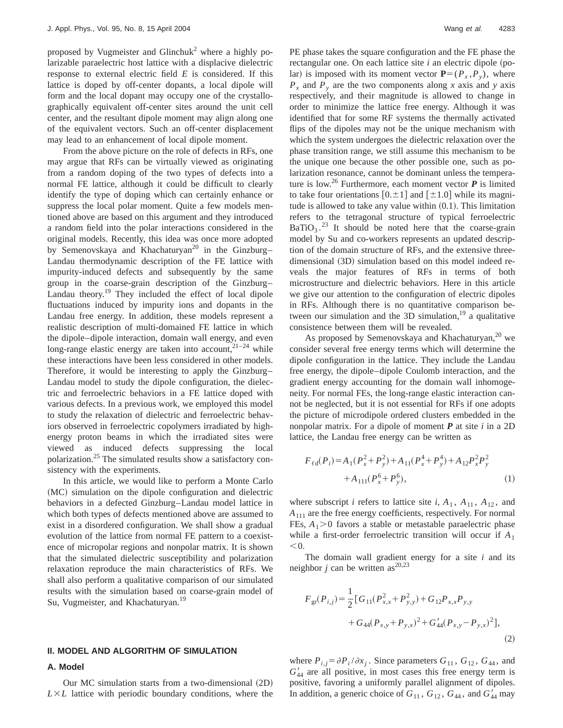proposed by Vugmeister and Glinchuk<sup>2</sup> where a highly polarizable paraelectric host lattice with a displacive dielectric response to external electric field *E* is considered. If this lattice is doped by off-center dopants, a local dipole will form and the local dopant may occupy one of the crystallographically equivalent off-center sites around the unit cell center, and the resultant dipole moment may align along one of the equivalent vectors. Such an off-center displacement may lead to an enhancement of local dipole moment.

From the above picture on the role of defects in RFs, one may argue that RFs can be virtually viewed as originating from a random doping of the two types of defects into a normal FE lattice, although it could be difficult to clearly identify the type of doping which can certainly enhance or suppress the local polar moment. Quite a few models mentioned above are based on this argument and they introduced a random field into the polar interactions considered in the original models. Recently, this idea was once more adopted by Semenovskaya and Khachaturyan<sup>20</sup> in the Ginzburg-Landau thermodynamic description of the FE lattice with impurity-induced defects and subsequently by the same group in the coarse-grain description of the Ginzburg– Landau theory.<sup>19</sup> They included the effect of local dipole fluctuations induced by impurity ions and dopants in the Landau free energy. In addition, these models represent a realistic description of multi-domained FE lattice in which the dipole–dipole interaction, domain wall energy, and even long-range elastic energy are taken into account,  $21-24$  while these interactions have been less considered in other models. Therefore, it would be interesting to apply the Ginzburg– Landau model to study the dipole configuration, the dielectric and ferroelectric behaviors in a FE lattice doped with various defects. In a previous work, we employed this model to study the relaxation of dielectric and ferroelectric behaviors observed in ferroelectric copolymers irradiated by highenergy proton beams in which the irradiated sites were viewed as induced defects suppressing the local polarization.25 The simulated results show a satisfactory consistency with the experiments.

In this article, we would like to perform a Monte Carlo (MC) simulation on the dipole configuration and dielectric behaviors in a defected Ginzburg–Landau model lattice in which both types of defects mentioned above are assumed to exist in a disordered configuration. We shall show a gradual evolution of the lattice from normal FE pattern to a coexistence of micropolar regions and nonpolar matrix. It is shown that the simulated dielectric susceptibility and polarization relaxation reproduce the main characteristics of RFs. We shall also perform a qualitative comparison of our simulated results with the simulation based on coarse-grain model of Su, Vugmeister, and Khachaturyan.<sup>19</sup>

# **A. Model**

Our MC simulation starts from a two-dimensional  $(2D)$  $L\times L$  lattice with periodic boundary conditions, where the PE phase takes the square configuration and the FE phase the rectangular one. On each lattice site  $i$  an electric dipole (polar) is imposed with its moment vector  $P=(P_x, P_y)$ , where  $P_x$  and  $P_y$  are the two components along *x* axis and *y* axis respectively, and their magnitude is allowed to change in order to minimize the lattice free energy. Although it was identified that for some RF systems the thermally activated flips of the dipoles may not be the unique mechanism with which the system undergoes the dielectric relaxation over the phase transition range, we still assume this mechanism to be the unique one because the other possible one, such as polarization resonance, cannot be dominant unless the temperature is low.26 Furthermore, each moment vector *P* is limited to take four orientations  $[0,\pm 1]$  and  $[\pm 1.0]$  while its magnitude is allowed to take any value within  $(0.1)$ . This limitation refers to the tetragonal structure of typical ferroelectric  $BaTiO<sub>3</sub>$ .<sup>23</sup> It should be noted here that the coarse-grain model by Su and co-workers represents an updated description of the domain structure of RFs, and the extensive threedimensional (3D) simulation based on this model indeed reveals the major features of RFs in terms of both microstructure and dielectric behaviors. Here in this article we give our attention to the configuration of electric dipoles in RFs. Although there is no quantitative comparison between our simulation and the 3D simulation, $19$  a qualitative consistence between them will be revealed.

As proposed by Semenovskaya and Khachaturyan,<sup>20</sup> we consider several free energy terms which will determine the dipole configuration in the lattice. They include the Landau free energy, the dipole–dipole Coulomb interaction, and the gradient energy accounting for the domain wall inhomogeneity. For normal FEs, the long-range elastic interaction cannot be neglected, but it is not essential for RFs if one adopts the picture of microdipole ordered clusters embedded in the nonpolar matrix. For a dipole of moment *P* at site *i* in a 2D lattice, the Landau free energy can be written as

$$
F_{\ell d}(P_i) = A_1 (P_x^2 + P_y^2) + A_{11} (P_x^4 + P_y^4) + A_{12} P_x^2 P_y^2
$$
  
+ 
$$
A_{111} (P_x^6 + P_y^6),
$$
 (1)

where subscript *i* refers to lattice site *i*,  $A_1$ ,  $A_{11}$ ,  $A_{12}$ , and *A*<sup>111</sup> are the free energy coefficients, respectively. For normal FEs,  $A_1 > 0$  favors a stable or metastable paraelectric phase while a first-order ferroelectric transition will occur if  $A_1$  $< 0.$ 

The domain wall gradient energy for a site *i* and its neighbor  $j$  can be written as<sup>20,23</sup>

$$
F_{\rm gr}(P_{i,j}) = \frac{1}{2} [G_{11}(P_{x,x}^2 + P_{y,y}^2) + G_{12}P_{x,x}P_{y,y} + G_{44}(P_{x,y} + P_{y,x})^2 + G'_{44}(P_{x,y} - P_{y,x})^2],
$$
\n(2)

where  $P_{i,j} = \partial P_i / \partial x_j$ . Since parameters  $G_{11}$ ,  $G_{12}$ ,  $G_{44}$ , and  $G'_{44}$  are all positive, in most cases this free energy term is positive, favoring a uniformly parallel alignment of dipoles. In addition, a generic choice of  $G_{11}$ ,  $G_{12}$ ,  $G_{44}$ , and  $G'_{44}$  may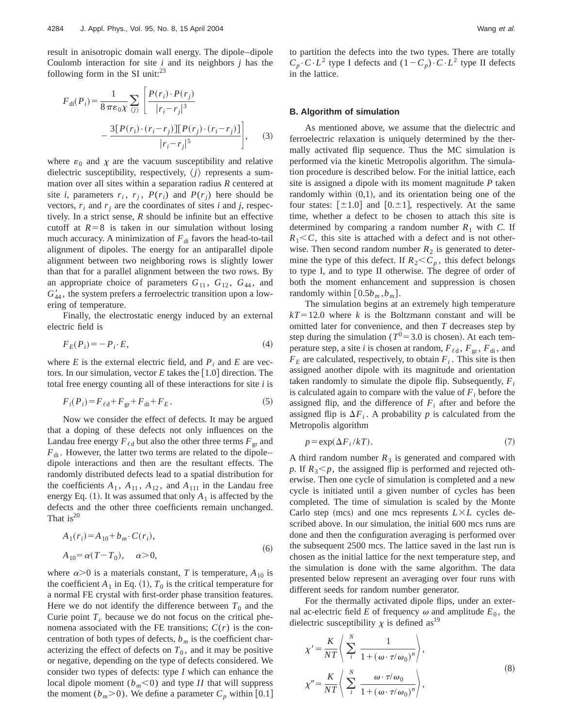result in anisotropic domain wall energy. The dipole–dipole Coulomb interaction for site *i* and its neighbors *j* has the following form in the SI unit: $^{23}$ 

$$
F_{di}(P_i) = \frac{1}{8 \pi \varepsilon_0 \chi} \sum_{\langle j \rangle} \left[ \frac{P(r_i) \cdot P(r_j)}{|r_i - r_j|^3} - \frac{3[P(r_i) \cdot (r_i - r_j)][P(r_j) \cdot (r_i - r_j)]}{|r_i - r_j|^5} \right], \quad (3)
$$

where  $\varepsilon_0$  and  $\chi$  are the vacuum susceptibility and relative dielectric susceptibility, respectively,  $\langle j \rangle$  represents a summation over all sites within a separation radius *R* centered at site *i*, parameters  $r_i$ ,  $r_j$ ,  $P(r_i)$  and  $P(r_j)$  here should be vectors,  $r_i$  and  $r_j$  are the coordinates of sites *i* and *j*, respectively. In a strict sense, *R* should be infinite but an effective cutoff at  $R=8$  is taken in our simulation without losing much accuracy. A minimization of  $F_{\text{di}}$  favors the head-to-tail alignment of dipoles. The energy for an antiparallel dipole alignment between two neighboring rows is slightly lower than that for a parallel alignment between the two rows. By an appropriate choice of parameters  $G_{11}$ ,  $G_{12}$ ,  $G_{44}$ , and  $G'_{44}$ , the system prefers a ferroelectric transition upon a lowering of temperature.

Finally, the electrostatic energy induced by an external electric field is

$$
F_E(P_i) = -P_i \cdot E,\tag{4}
$$

where  $E$  is the external electric field, and  $P_i$  and  $E$  are vectors. In our simulation, vector  $E$  takes the  $\lceil 1.0 \rceil$  direction. The total free energy counting all of these interactions for site *i* is

$$
F_i(P_i) = F_{\ell d} + F_{gr} + F_{di} + F_E.
$$
 (5)

Now we consider the effect of defects. It may be argued that a doping of these defects not only influences on the Landau free energy  $F_{\ell d}$  but also the other three terms  $F_{\ell d}$  and  $F_{\text{di}}$ . However, the latter two terms are related to the dipole– dipole interactions and then are the resultant effects. The randomly distributed defects lead to a spatial distribution for the coefficients  $A_1$ ,  $A_{11}$ ,  $A_{12}$ , and  $A_{111}$  in the Landau free energy Eq.  $(1)$ . It was assumed that only  $A_1$  is affected by the defects and the other three coefficients remain unchanged. That is $^{20}$ 

$$
A_1(r_i) = A_{10} + b_m \cdot C(r_i),
$$
  
\n
$$
A_{10} = \alpha (T - T_0), \quad \alpha > 0,
$$
\n(6)

where  $\alpha$ >0 is a materials constant, *T* is temperature, *A*<sub>10</sub> is the coefficient  $A_1$  in Eq. (1),  $T_0$  is the critical temperature for a normal FE crystal with first-order phase transition features. Here we do not identify the difference between  $T_0$  and the Curie point  $T_c$  because we do not focus on the critical phenomena associated with the FE transitions;  $C(r)$  is the concentration of both types of defects,  $b_m$  is the coefficient characterizing the effect of defects on  $T_0$ , and it may be positive or negative, depending on the type of defects considered. We consider two types of defects: type *I* which can enhance the local dipole moment  $(b_m<0)$  and type *II* that will suppress the moment  $(b_m>0)$ . We define a parameter  $C_p$  within [0.1] to partition the defects into the two types. There are totally  $C_p \cdot C \cdot L^2$  type I defects and  $(1 - C_p) \cdot C \cdot L^2$  type II defects in the lattice.

## **B. Algorithm of simulation**

As mentioned above, we assume that the dielectric and ferroelectric relaxation is uniquely determined by the thermally activated flip sequence. Thus the MC simulation is performed via the kinetic Metropolis algorithm. The simulation procedure is described below. For the initial lattice, each site is assigned a dipole with its moment magnitude *P* taken randomly within  $(0,1)$ , and its orientation being one of the four states:  $[\pm 1.0]$  and  $[0.\pm 1]$ , respectively. At the same time, whether a defect to be chosen to attach this site is determined by comparing a random number  $R_1$  with  $C$ . If  $R_1$  
ightarrow C, this site is attached with a defect and is not otherwise. Then second random number  $R_2$  is generated to determine the type of this defect. If  $R_2 \leq C_p$ , this defect belongs to type I, and to type II otherwise. The degree of order of both the moment enhancement and suppression is chosen randomly within  $[0.5b_m, b_m]$ .

The simulation begins at an extremely high temperature  $kT=12.0$  where *k* is the Boltzmann constant and will be omitted later for convenience, and then *T* decreases step by step during the simulation ( $T^0$ =3.0 is chosen). At each temperature step, a site *i* is chosen at random,  $F_{\ell d}$ ,  $F_{gr}$ ,  $F_{di}$ , and  $F_E$  are calculated, respectively, to obtain  $F_i$ . This site is then assigned another dipole with its magnitude and orientation taken randomly to simulate the dipole flip. Subsequently,  $F_i$ is calculated again to compare with the value of  $F_i$  before the assigned flip, and the difference of  $F_i$  after and before the assigned flip is  $\Delta F_i$ . A probability p is calculated from the Metropolis algorithm

$$
p = \exp(\Delta F_i / kT). \tag{7}
$$

A third random number  $R_3$  is generated and compared with p. If  $R_3 \leq p$ , the assigned flip is performed and rejected otherwise. Then one cycle of simulation is completed and a new cycle is initiated until a given number of cycles has been completed. The time of simulation is scaled by the Monte Carlo step (mcs) and one mcs represents  $L \times L$  cycles described above. In our simulation, the initial 600 mcs runs are done and then the configuration averaging is performed over the subsequent 2500 mcs. The lattice saved in the last run is chosen as the initial lattice for the next temperature step, and the simulation is done with the same algorithm. The data presented below represent an averaging over four runs with different seeds for random number generator.

For the thermally activated dipole flips, under an external ac-electric field *E* of frequency  $\omega$  and amplitude  $E_0$ , the dielectric susceptibility  $\chi$  is defined as<sup>19</sup>

$$
\chi' = \frac{K}{NT} \left\langle \sum_{i}^{N} \frac{1}{1 + (\omega \cdot \tau/\omega_0)^n} \right\rangle,
$$
  

$$
\chi'' = \frac{K}{NT} \left\langle \sum_{i}^{N} \frac{\omega \cdot \tau/\omega_0}{1 + (\omega \cdot \tau/\omega_0)^n} \right\rangle,
$$
 (8)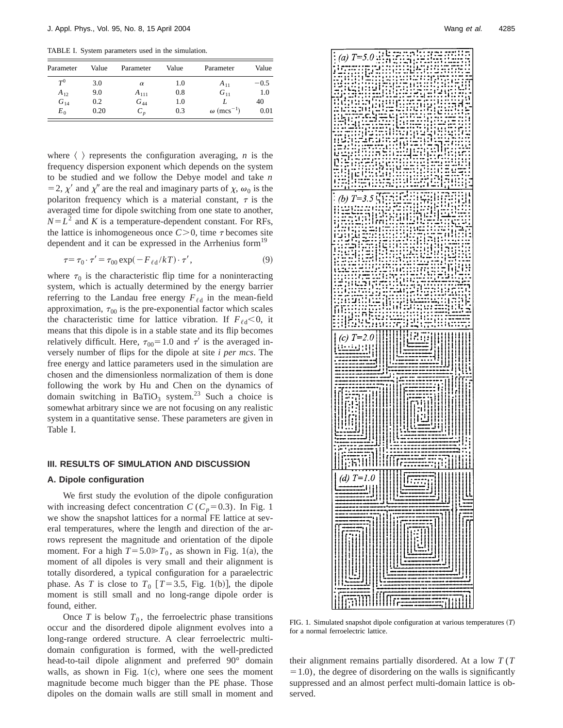TABLE I. System parameters used in the simulation.

| Parameter                     | Value | Parameter | Value | Parameter                     | Value  |
|-------------------------------|-------|-----------|-------|-------------------------------|--------|
| $\tau^{\scriptscriptstyle 0}$ | 3.0   | $\alpha$  | 1.0   | $A_{11}$                      | $-0.5$ |
| $A_{12}$                      | 9.0   | $A_{111}$ | 0.8   | $G_{11}$                      | 1.0    |
| $G_{14}$                      | 0.2   | $G_{44}$  | 1.0   |                               | 40     |
| $E_0$                         | 0.20  | $C_n$     | 0.3   | $\omega$ (mcs <sup>-1</sup> ) | 0.01   |

where  $\langle \rangle$  represents the configuration averaging, *n* is the frequency dispersion exponent which depends on the system to be studied and we follow the Debye model and take *n* = 2,  $\chi'$  and  $\chi''$  are the real and imaginary parts of  $\chi$ ,  $\omega_0$  is the polariton frequency which is a material constant,  $\tau$  is the averaged time for dipole switching from one state to another,  $N = L<sup>2</sup>$  and *K* is a temperature-dependent constant. For RFs, the lattice is inhomogeneous once  $C>0$ , time  $\tau$  becomes site dependent and it can be expressed in the Arrhenius form<sup>19</sup>

$$
\tau = \tau_0 \cdot \tau' = \tau_{00} \exp(-F_{\ell d}/kT) \cdot \tau',\tag{9}
$$

where  $\tau_0$  is the characteristic flip time for a noninteracting system, which is actually determined by the energy barrier referring to the Landau free energy  $F_{\ell d}$  in the mean-field approximation,  $\tau_{00}$  is the pre-exponential factor which scales the characteristic time for lattice vibration. If  $F_{\ell d} < 0$ , it means that this dipole is in a stable state and its flip becomes relatively difficult. Here,  $\tau_{00} = 1.0$  and  $\tau'$  is the averaged inversely number of flips for the dipole at site *i per mcs*. The free energy and lattice parameters used in the simulation are chosen and the dimensionless normalization of them is done following the work by Hu and Chen on the dynamics of domain switching in BaTiO<sub>3</sub> system.<sup>23</sup> Such a choice is somewhat arbitrary since we are not focusing on any realistic system in a quantitative sense. These parameters are given in Table I.

# **III. RESULTS OF SIMULATION AND DISCUSSION**

## **A. Dipole configuration**

We first study the evolution of the dipole configuration with increasing defect concentration  $C$  ( $C_p$ =0.3). In Fig. 1 we show the snapshot lattices for a normal FE lattice at several temperatures, where the length and direction of the arrows represent the magnitude and orientation of the dipole moment. For a high  $T = 5.0 \gg T_0$ , as shown in Fig. 1(a), the moment of all dipoles is very small and their alignment is totally disordered, a typical configuration for a paraelectric phase. As *T* is close to  $T_0$   $T=3.5$ , Fig. 1(b)], the dipole moment is still small and no long-range dipole order is found, either.

Once *T* is below  $T_0$ , the ferroelectric phase transitions occur and the disordered dipole alignment evolves into a long-range ordered structure. A clear ferroelectric multidomain configuration is formed, with the well-predicted head-to-tail dipole alignment and preferred 90° domain walls, as shown in Fig.  $1(c)$ , where one sees the moment magnitude become much bigger than the PE phase. Those dipoles on the domain walls are still small in moment and



FIG. 1. Simulated snapshot dipole configuration at various temperatures  $(T)$ for a normal ferroelectric lattice.

their alignment remains partially disordered. At a low *T* (*T*  $=1.0$ ), the degree of disordering on the walls is significantly suppressed and an almost perfect multi-domain lattice is observed.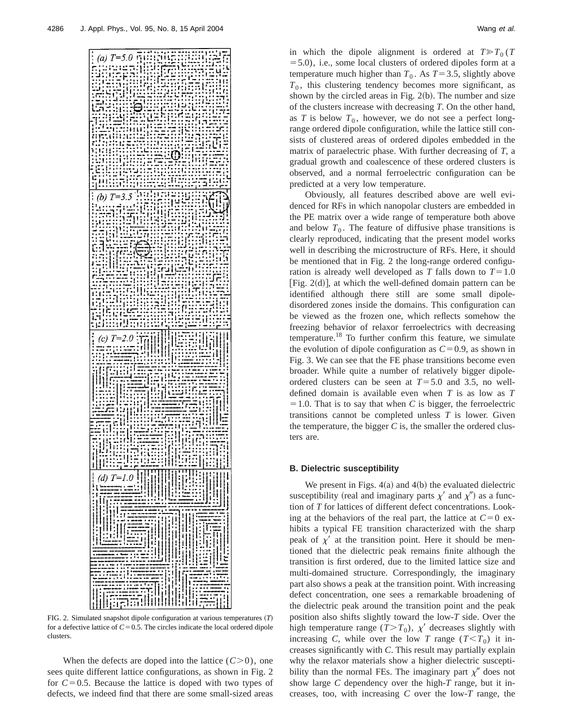

FIG. 2. Simulated snapshot dipole configuration at various temperatures  $(T)$ for a defective lattice of  $C=0.5$ . The circles indicate the local ordered dipole clusters.

When the defects are doped into the lattice  $(C>0)$ , one sees quite different lattice configurations, as shown in Fig. 2 for  $C=0.5$ . Because the lattice is doped with two types of defects, we indeed find that there are some small-sized areas in which the dipole alignment is ordered at  $T \geq T_0$  (*T*  $=$  5.0), i.e., some local clusters of ordered dipoles form at a temperature much higher than  $T_0$ . As  $T=3.5$ , slightly above  $T<sub>0</sub>$ , this clustering tendency becomes more significant, as shown by the circled areas in Fig.  $2(b)$ . The number and size of the clusters increase with decreasing *T*. On the other hand, as *T* is below  $T_0$ , however, we do not see a perfect longrange ordered dipole configuration, while the lattice still consists of clustered areas of ordered dipoles embedded in the matrix of paraelectric phase. With further decreasing of *T*, a gradual growth and coalescence of these ordered clusters is observed, and a normal ferroelectric configuration can be predicted at a very low temperature.

Obviously, all features described above are well evidenced for RFs in which nanopolar clusters are embedded in the PE matrix over a wide range of temperature both above and below  $T_0$ . The feature of diffusive phase transitions is clearly reproduced, indicating that the present model works well in describing the microstructure of RFs. Here, it should be mentioned that in Fig. 2 the long-range ordered configuration is already well developed as *T* falls down to  $T=1.0$ [Fig.  $2(d)$ ], at which the well-defined domain pattern can be identified although there still are some small dipoledisordered zones inside the domains. This configuration can be viewed as the frozen one, which reflects somehow the freezing behavior of relaxor ferroelectrics with decreasing temperature.<sup>18</sup> To further confirm this feature, we simulate the evolution of dipole configuration as  $C=0.9$ , as shown in Fig. 3. We can see that the FE phase transitions become even broader. While quite a number of relatively bigger dipoleordered clusters can be seen at  $T=5.0$  and 3.5, no welldefined domain is available even when *T* is as low as *T*  $=1.0$ . That is to say that when *C* is bigger, the ferroelectric transitions cannot be completed unless *T* is lower. Given the temperature, the bigger  $C$  is, the smaller the ordered clusters are.

#### **B. Dielectric susceptibility**

We present in Figs.  $4(a)$  and  $4(b)$  the evaluated dielectric susceptibility (real and imaginary parts  $\chi'$  and  $\chi''$ ) as a function of *T* for lattices of different defect concentrations. Looking at the behaviors of the real part, the lattice at  $C=0$  exhibits a typical FE transition characterized with the sharp peak of  $\chi'$  at the transition point. Here it should be mentioned that the dielectric peak remains finite although the transition is first ordered, due to the limited lattice size and multi-domained structure. Correspondingly, the imaginary part also shows a peak at the transition point. With increasing defect concentration, one sees a remarkable broadening of the dielectric peak around the transition point and the peak position also shifts slightly toward the low-*T* side. Over the high temperature range  $(T>T_0)$ ,  $\chi'$  decreases slightly with increasing *C*, while over the low *T* range  $(T < T_0)$  it increases significantly with *C*. This result may partially explain why the relaxor materials show a higher dielectric susceptibility than the normal FEs. The imaginary part  $\chi''$  does not show large *C* dependency over the high-*T* range, but it increases, too, with increasing *C* over the low-*T* range, the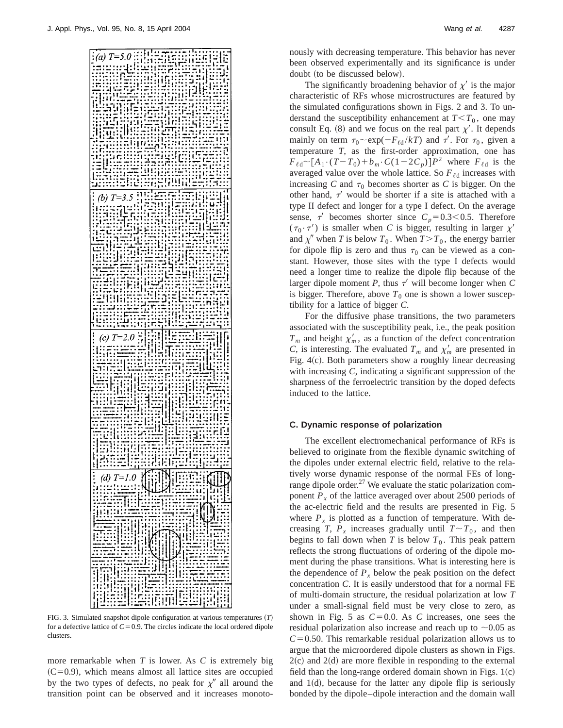

FIG. 3. Simulated snapshot dipole configuration at various temperatures  $(T)$ for a defective lattice of  $C=0.9$ . The circles indicate the local ordered dipole clusters.

more remarkable when *T* is lower. As *C* is extremely big  $(C=0.9)$ , which means almost all lattice sites are occupied by the two types of defects, no peak for  $\chi^{\prime\prime}$  all around the transition point can be observed and it increases monotonously with decreasing temperature. This behavior has never been observed experimentally and its significance is under doubt (to be discussed below).

The significantly broadening behavior of  $\chi'$  is the major characteristic of RFs whose microstructures are featured by the simulated configurations shown in Figs. 2 and 3. To understand the susceptibility enhancement at  $T < T_0$ , one may consult Eq. (8) and we focus on the real part  $\chi'$ . It depends mainly on term  $\tau_0 \sim \exp(-F_{\ell d}/kT)$  and  $\tau'$ . For  $\tau_0$ , given a temperature *T*, as the first-order approximation, one has  $F_{\ell d} \sim [A_1 \cdot (T - T_0) + b_m \cdot C(1 - 2C_p)]P^2$  where  $F_{\ell d}$  is the averaged value over the whole lattice. So  $F_{\ell d}$  increases with increasing *C* and  $\tau_0$  becomes shorter as *C* is bigger. On the other hand,  $\tau'$  would be shorter if a site is attached with a type II defect and longer for a type I defect. On the average sense,  $\tau'$  becomes shorter since  $C_p = 0.3 \le 0.5$ . Therefore  $(\tau_0 \cdot \tau')$  is smaller when *C* is bigger, resulting in larger  $\chi'$ and  $\chi''$  when *T* is below  $T_0$ . When  $T>T_0$ , the energy barrier for dipole flip is zero and thus  $\tau_0$  can be viewed as a constant. However, those sites with the type I defects would need a longer time to realize the dipole flip because of the larger dipole moment *P*, thus  $\tau'$  will become longer when *C* is bigger. Therefore, above  $T_0$  one is shown a lower susceptibility for a lattice of bigger *C*.

For the diffusive phase transitions, the two parameters associated with the susceptibility peak, i.e., the peak position  $T_m$  and height  $\chi'_m$ , as a function of the defect concentration *C*, is interesting. The evaluated  $T_m$  and  $\chi'_m$  are presented in Fig.  $4(c)$ . Both parameters show a roughly linear decreasing with increasing *C*, indicating a significant suppression of the sharpness of the ferroelectric transition by the doped defects induced to the lattice.

## **C. Dynamic response of polarization**

The excellent electromechanical performance of RFs is believed to originate from the flexible dynamic switching of the dipoles under external electric field, relative to the relatively worse dynamic response of the normal FEs of longrange dipole order.<sup>27</sup> We evaluate the static polarization component  $P<sub>x</sub>$  of the lattice averaged over about 2500 periods of the ac-electric field and the results are presented in Fig. 5 where  $P_x$  is plotted as a function of temperature. With decreasing *T*,  $P_x$  increases gradually until  $T \sim T_0$ , and then begins to fall down when  $T$  is below  $T_0$ . This peak pattern reflects the strong fluctuations of ordering of the dipole moment during the phase transitions. What is interesting here is the dependence of  $P_x$  below the peak position on the defect concentration *C*. It is easily understood that for a normal FE of multi-domain structure, the residual polarization at low *T* under a small-signal field must be very close to zero, as shown in Fig. 5 as  $C=0.0$ . As *C* increases, one sees the residual polarization also increase and reach up to  $\sim 0.05$  as  $C=0.50$ . This remarkable residual polarization allows us to argue that the microordered dipole clusters as shown in Figs.  $2(c)$  and  $2(d)$  are more flexible in responding to the external field than the long-range ordered domain shown in Figs.  $1(c)$ and  $1(d)$ , because for the latter any dipole flip is seriously bonded by the dipole–dipole interaction and the domain wall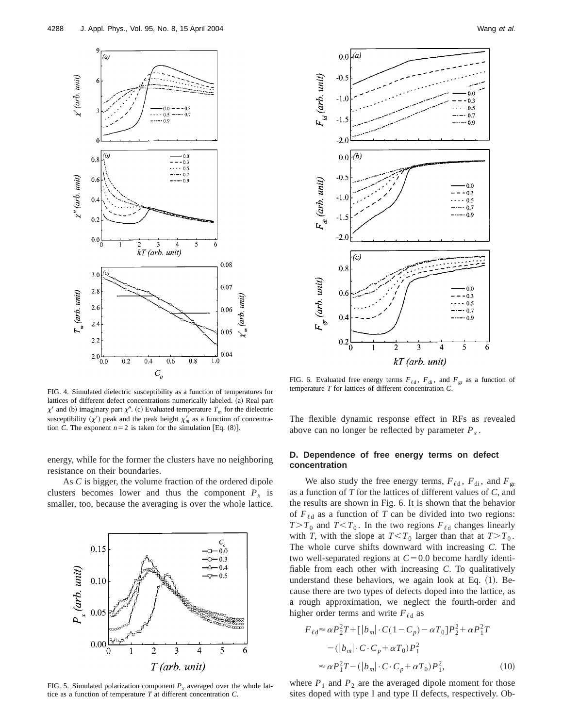

FIG. 4. Simulated dielectric susceptibility as a function of temperatures for lattices of different defect concentrations numerically labeled. (a) Real part  $\chi'$  and (b) imaginary part  $\chi''$ . (c) Evaluated temperature  $T_m$  for the dielectric susceptibility  $(\chi')$  peak and the peak height  $\chi'_m$  as a function of concentration *C*. The exponent  $n=2$  is taken for the simulation [Eq. (8)].

energy, while for the former the clusters have no neighboring resistance on their boundaries.

As *C* is bigger, the volume fraction of the ordered dipole clusters becomes lower and thus the component  $P_x$  is smaller, too, because the averaging is over the whole lattice.



FIG. 5. Simulated polarization component  $P<sub>x</sub>$  averaged over the whole lattice as a function of temperature *T* at different concentration *C*.



FIG. 6. Evaluated free energy terms  $F_{\ell d}$ ,  $F_{di}$ , and  $F_{gr}$  as a function of temperature *T* for lattices of different concentration *C*.

The flexible dynamic response effect in RFs as revealed above can no longer be reflected by parameter  $P<sub>x</sub>$ .

## **D. Dependence of free energy terms on defect concentration**

We also study the free energy terms,  $F_{\ell d}$ ,  $F_{di}$ , and  $F_{gr}$ as a function of *T* for the lattices of different values of *C*, and the results are shown in Fig. 6. It is shown that the behavior of  $F_{\ell d}$  as a function of *T* can be divided into two regions:  $T>T_0$  and  $T < T_0$ . In the two regions  $F_{\ell d}$  changes linearly with *T*, with the slope at  $T < T_0$  larger than that at  $T > T_0$ . The whole curve shifts downward with increasing *C*. The two well-separated regions at  $C=0.0$  become hardly identifiable from each other with increasing *C*. To qualitatively understand these behaviors, we again look at Eq.  $(1)$ . Because there are two types of defects doped into the lattice, as a rough approximation, we neglect the fourth-order and higher order terms and write  $F_{\ell d}$  as

$$
F_{\ell d} \approx \alpha P_2^2 T + [ |b_m| \cdot C (1 - C_p) - \alpha T_0 ] P_2^2 + \alpha P_1^2 T
$$
  
-(|b\_m| \cdot C \cdot C\_p + \alpha T\_0) P\_1^2  

$$
\approx \alpha P_1^2 T - (|b_m| \cdot C \cdot C_p + \alpha T_0) P_1^2,
$$
 (10)

where  $P_1$  and  $P_2$  are the averaged dipole moment for those sites doped with type I and type II defects, respectively. Ob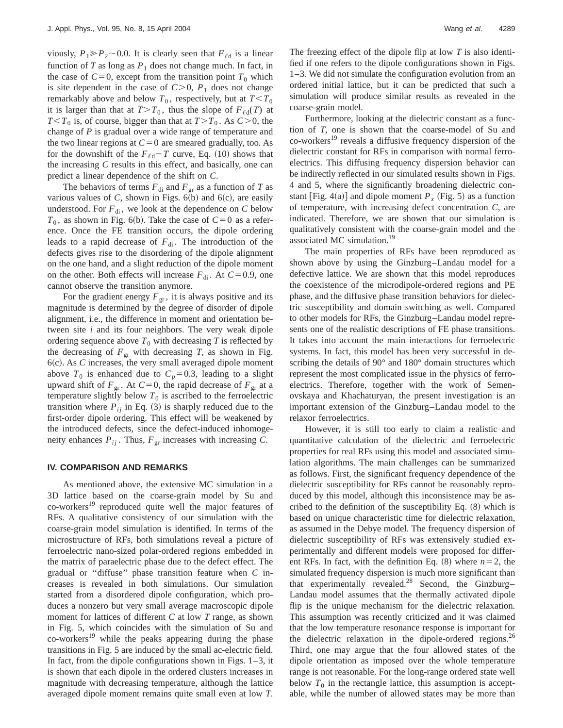viously,  $P_1 \ge P_2 \sim 0.0$ . It is clearly seen that  $F_{\ell d}$  is a linear function of *T* as long as  $P_1$  does not change much. In fact, in the case of  $C=0$ , except from the transition point  $T_0$  which is site dependent in the case of  $C>0$ ,  $P_1$  does not change remarkably above and below  $T_0$ , respectively, but at  $T < T_0$ it is larger than that at  $T>T_0$ , thus the slope of  $F_{\ell d}(T)$  at  $T < T_0$  is, of course, bigger than that at  $T > T_0$ . As  $C > 0$ , the change of *P* is gradual over a wide range of temperature and the two linear regions at  $C=0$  are smeared gradually, too. As for the downshift of the  $F_{\ell d}$ <sup>-</sup> T curve, Eq. (10) shows that the increasing *C* results in this effect, and basically, one can predict a linear dependence of the shift on *C*.

The behaviors of terms  $F_{di}$  and  $F_{gr}$  as a function of *T* as various values of *C*, shown in Figs.  $6(b)$  and  $6(c)$ , are easily understood. For  $F_{\text{di}}$ , we look at the dependence on *C* below  $T_0$ , as shown in Fig. 6(b). Take the case of  $C=0$  as a reference. Once the FE transition occurs, the dipole ordering leads to a rapid decrease of  $F_{di}$ . The introduction of the defects gives rise to the disordering of the dipole alignment on the one hand, and a slight reduction of the dipole moment on the other. Both effects will increase  $F_{di}$ . At  $C=0.9$ , one cannot observe the transition anymore.

For the gradient energy  $F_{gr}$ , it is always positive and its magnitude is determined by the degree of disorder of dipole alignment, i.e., the difference in moment and orientation between site *i* and its four neighbors. The very weak dipole ordering sequence above  $T_0$  with decreasing  $T$  is reflected by the decreasing of  $F_{gr}$  with decreasing *T*, as shown in Fig.  $6(c)$ . As *C* increases, the very small averaged dipole moment above  $T_0$  is enhanced due to  $C_p=0.3$ , leading to a slight upward shift of  $F_{gr}$ . At  $C=0$ , the rapid decrease of  $F_{gr}$  at a temperature slightly below  $T_0$  is ascribed to the ferroelectric transition where  $P_{ij}$  in Eq. (3) is sharply reduced due to the first-order dipole ordering. This effect will be weakened by the introduced defects, since the defect-induced inhomogeneity enhances  $P_{ij}$ . Thus,  $F_{gr}$  increases with increasing *C*.

## **IV. COMPARISON AND REMARKS**

As mentioned above, the extensive MC simulation in a 3D lattice based on the coarse-grain model by Su and  $\rm{co\text{-}words}^{19}$  reproduced quite well the major features of RFs. A qualitative consistency of our simulation with the coarse-grain model simulation is identified. In terms of the microstructure of RFs, both simulations reveal a picture of ferroelectric nano-sized polar-ordered regions embedded in the matrix of paraelectric phase due to the defect effect. The gradual or ''diffuse'' phase transition feature when *C* increases is revealed in both simulations. Our simulation started from a disordered dipole configuration, which produces a nonzero but very small average macroscopic dipole moment for lattices of different *C* at low *T* range, as shown in Fig. 5, which coincides with the simulation of Su and  $\rm{co\text{-}words}^{19}$  while the peaks appearing during the phase transitions in Fig. 5 are induced by the small ac-electric field. In fact, from the dipole configurations shown in Figs.  $1-3$ , it is shown that each dipole in the ordered clusters increases in magnitude with decreasing temperature, although the lattice averaged dipole moment remains quite small even at low *T*. The freezing effect of the dipole flip at low *T* is also identified if one refers to the dipole configurations shown in Figs. 1–3. We did not simulate the configuration evolution from an ordered initial lattice, but it can be predicted that such a simulation will produce similar results as revealed in the coarse-grain model.

Furthermore, looking at the dielectric constant as a function of *T*, one is shown that the coarse-model of Su and co-workers<sup>19</sup> reveals a diffusive frequency dispersion of the dielectric constant for RFs in comparison with normal ferroelectrics. This diffusing frequency dispersion behavior can be indirectly reflected in our simulated results shown in Figs. 4 and 5, where the significantly broadening dielectric constant [Fig. 4(a)] and dipole moment  $P_x$  (Fig. 5) as a function of temperature, with increasing defect concentration *C*, are indicated. Therefore, we are shown that our simulation is qualitatively consistent with the coarse-grain model and the associated MC simulation.<sup>19</sup>

The main properties of RFs have been reproduced as shown above by using the Ginzburg–Landau model for a defective lattice. We are shown that this model reproduces the coexistence of the microdipole-ordered regions and PE phase, and the diffusive phase transition behaviors for dielectric susceptibility and domain switching as well. Compared to other models for RFs, the Ginzburg–Landau model represents one of the realistic descriptions of FE phase transitions. It takes into account the main interactions for ferroelectric systems. In fact, this model has been very successful in describing the details of 90° and 180° domain structures which represent the most complicated issue in the physics of ferroelectrics. Therefore, together with the work of Semenovskaya and Khachaturyan, the present investigation is an important extension of the Ginzburg–Landau model to the relaxor ferroelectrics.

However, it is still too early to claim a realistic and quantitative calculation of the dielectric and ferroelectric properties for real RFs using this model and associated simulation algorithms. The main challenges can be summarized as follows. First, the significant frequency dependence of the dielectric susceptibility for RFs cannot be reasonably reproduced by this model, although this inconsistence may be ascribed to the definition of the susceptibility Eq.  $(8)$  which is based on unique characteristic time for dielectric relaxation, as assumed in the Debye model. The frequency dispersion of dielectric susceptibility of RFs was extensively studied experimentally and different models were proposed for different RFs. In fact, with the definition Eq.  $(8)$  where  $n=2$ , the simulated frequency dispersion is much more significant than that experimentally revealed.<sup>28</sup> Second, the Ginzburg– Landau model assumes that the thermally activated dipole flip is the unique mechanism for the dielectric relaxation. This assumption was recently criticized and it was claimed that the low temperature resonance response is important for the dielectric relaxation in the dipole-ordered regions.<sup>26</sup> Third, one may argue that the four allowed states of the dipole orientation as imposed over the whole temperature range is not reasonable. For the long-range ordered state well below  $T_0$  in the rectangle lattice, this assumption is acceptable, while the number of allowed states may be more than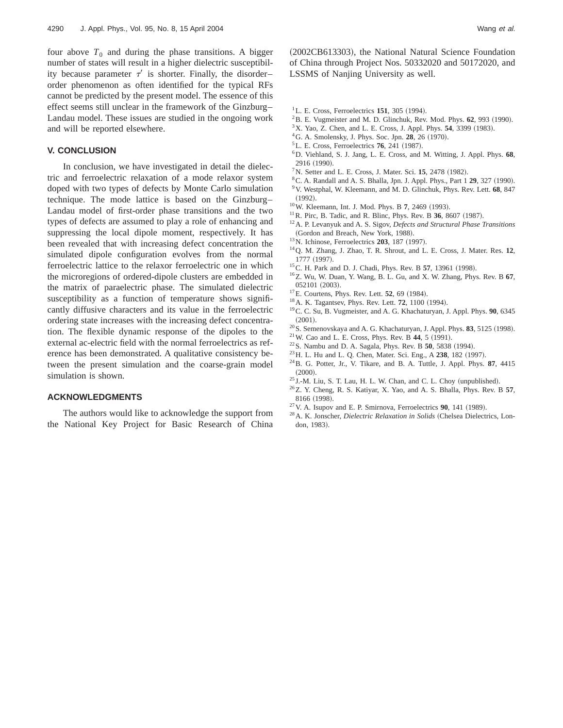four above  $T_0$  and during the phase transitions. A bigger number of states will result in a higher dielectric susceptibility because parameter  $\tau'$  is shorter. Finally, the disorder– order phenomenon as often identified for the typical RFs cannot be predicted by the present model. The essence of this effect seems still unclear in the framework of the Ginzburg– Landau model. These issues are studied in the ongoing work and will be reported elsewhere.

# **V. CONCLUSION**

In conclusion, we have investigated in detail the dielectric and ferroelectric relaxation of a mode relaxor system doped with two types of defects by Monte Carlo simulation technique. The mode lattice is based on the Ginzburg– Landau model of first-order phase transitions and the two types of defects are assumed to play a role of enhancing and suppressing the local dipole moment, respectively. It has been revealed that with increasing defect concentration the simulated dipole configuration evolves from the normal ferroelectric lattice to the relaxor ferroelectric one in which the microregions of ordered-dipole clusters are embedded in the matrix of paraelectric phase. The simulated dielectric susceptibility as a function of temperature shows significantly diffusive characters and its value in the ferroelectric ordering state increases with the increasing defect concentration. The flexible dynamic response of the dipoles to the external ac-electric field with the normal ferroelectrics as reference has been demonstrated. A qualitative consistency between the present simulation and the coarse-grain model simulation is shown.

## **ACKNOWLEDGMENTS**

The authors would like to acknowledge the support from the National Key Project for Basic Research of China (2002CB613303), the National Natural Science Foundation of China through Project Nos. 50332020 and 50172020, and LSSMS of Nanjing University as well.

- $1$ L. E. Cross, Ferroelectrics **151**, 305 (1994).
- $^{2}$ B. E. Vugmeister and M. D. Glinchuk, Rev. Mod. Phys. **62**, 993 (1990).
- $3X.$  Yao, Z. Chen, and L. E. Cross, J. Appl. Phys. **54**, 3399  $(1983)$ .
- <sup>4</sup>G. A. Smolensky, J. Phys. Soc. Jpn. **28**, 26 (1970).
- <sup>5</sup>L. E. Cross, Ferroelectrics **76**, 241 (1987).
- 6D. Viehland, S. J. Jang, L. E. Cross, and M. Witting, J. Appl. Phys. **68**, 2916 (1990).
- ${}^{7}$ N. Setter and L. E. Cross, J. Mater. Sci. 15, 2478 (1982).
- <sup>8</sup> C. A. Randall and A. S. Bhalla, Jpn. J. Appl. Phys., Part 1 **29**, 327 (1990). 9V. Westphal, W. Kleemann, and M. D. Glinchuk, Phys. Rev. Lett. **68**, 847  $(1992).$
- <sup>10</sup>W. Kleemann, Int. J. Mod. Phys. B 7, 2469 (1993).
- $11$  R. Pirc, B. Tadic, and R. Blinc, Phys. Rev. B 36, 8607 (1987).
- 12A. P. Levanyuk and A. S. Sigov, *Defects and Structural Phase Transitions* (Gordon and Breach, New York, 1988).
- <sup>13</sup>N. Ichinose, Ferroelectrics **203**, 187 (1997).
- 14Q. M. Zhang, J. Zhao, T. R. Shrout, and L. E. Cross, J. Mater. Res. **12**, 1777 (1997).
- <sup>15</sup> C. H. Park and D. J. Chadi, Phys. Rev. B **57**, 13961 (1998).
- 16Z. Wu, W. Duan, Y. Wang, B. L. Gu, and X. W. Zhang, Phys. Rev. B **67**, 052101 (2003).
- $17E$ . Courtens, Phys. Rev. Lett. **52**, 69 (1984).
- <sup>18</sup> A. K. Tagantsev, Phys. Rev. Lett. **72**, 1100 (1994).
- 19C. C. Su, B. Vugmeister, and A. G. Khachaturyan, J. Appl. Phys. **90**, 6345  $(2001).$
- $^{20}$ S. Semenovskaya and A. G. Khachaturyan, J. Appl. Phys. **83**, 5125 (1998).
- $21$  W. Cao and L. E. Cross, Phys. Rev. B 44, 5 (1991).
- <sup>22</sup> S. Nambu and D. A. Sagala, Phys. Rev. B **50**, 5838 (1994).
- <sup>23</sup> H. L. Hu and L. Q. Chen, Mater. Sci. Eng., A **238**, 182 (1997).
- 24B. G. Potter, Jr., V. Tikare, and B. A. Tuttle, J. Appl. Phys. **87**, 4415  $(2000)$ .
- $^{25}$  J.-M. Liu, S. T. Lau, H. L. W. Chan, and C. L. Choy (unpublished).
- 26Z. Y. Cheng, R. S. Katiyar, X. Yao, and A. S. Bhalla, Phys. Rev. B **57**, 8166 (1998).
- $27$  V. A. Isupov and E. P. Smirnova, Ferroelectrics  $90$ , 141 (1989).
- <sup>28</sup> A. K. Jonscher, *Dielectric Relaxation in Solids* (Chelsea Dielectrics, London, 1983).